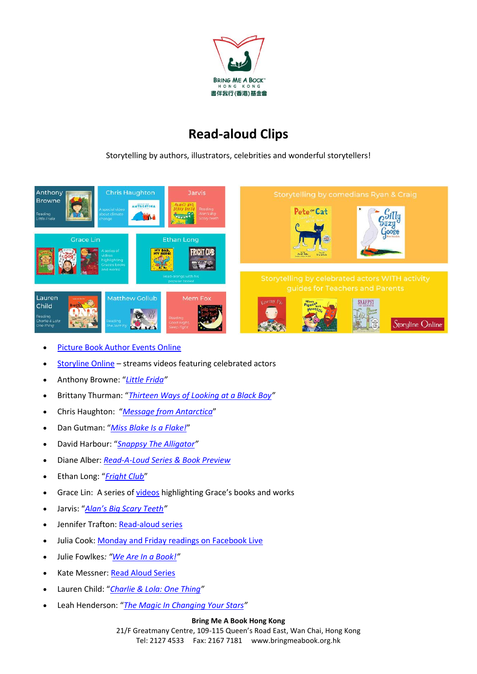

## **Read-aloud Clips**

Storytelling by authors, illustrators, celebrities and wonderful storytellers!



- **•** [Picture Book Author Events](https://www.facebook.com/AuthorEventsOnline/) Online
- [Storyline Online](https://storylineonline.net/) streams videos featuring celebrated actors
- Anthony Browne: "*[Little Frida](https://www.youtube.com/watch?v=G_TYGhF62sg)"*
- Brittany Thurman: "*[Thirteen Ways of Looking](https://www.facebook.com/britjanee/videos/10101820948951162) at a Black Boy"*
- Chris Haughton: "*[Message from Antarctica](https://www.chrishaughton.com/antarctica)*"
- Dan Gutman: "*[Miss Blake Is a Flake!](https://www.facebook.com/100044640840126/videos/654151382018154/)*"
- David Harbour: "*[Snappsy The Alligator](https://www.youtube.com/watch?v=yU8OJWAZmZo&feature=youtu.be)"*
- Diane Alber: *[Read-A-Loud Series & Book Preview](https://www.facebook.com/imnotjustascribble/videos/?ref=page_internal)*
- Ethan Long: "*[Fright Club](https://www.youtube.com/watch?v=f4j49oBArwA)*"
- Grace Lin: A series of [videos](https://gracelin.com/videos-for-kids/) highlighting Grace's books and works
- Jarvis: "*[Alan's Big Scary Teeth"](https://www.youtube.com/watch?time_continue=68&v=fcUA0jmg_9Q&feature=emb_logo)*
- Jennifer Trafton[: Read-aloud series](https://www.facebook.com/jennifertraftonauthor/videos/?ref=page_internal)
- Julia Cook: [Monday and Friday readings on Facebook Live](https://www.facebook.com/juliacookonline/live_videos)
- Julie Fowlkes*: "[We Are In a Book!](https://www.youtube.com/watch?v=bP-lQWTEVaw&feature=emb_logo)"*
- Kate Messner: [Read Aloud Series](https://www.youtube.com/channel/UCDN7Okp03Z_D4UzGtsG2T4Q)
- Lauren Child: "*[Charlie & Lola: One Thing](https://www.youtube.com/watch?v=J72k88brbxE)"*
- Leah Henderson: "*[The Magic In Changing Your Stars](https://www.youtube.com/watch?v=s_0UqFHP5Ec&feature=youtu.be)"*

## **Bring Me A Book Hong Kong**